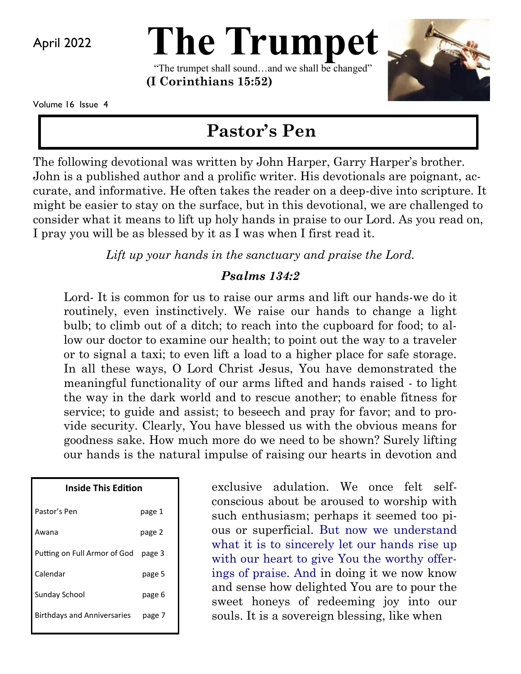April 2022

# **The Trumpet**

"The trumpet shall sound…and we shall be changed" **(I Corinthians 15:52)** 



Volume 16 Issue 4

# **Pastor's Pen**

The following devotional was written by John Harper, Garry Harper's brother. John is a published author and a prolific writer. His devotionals are poignant, accurate, and informative. He often takes the reader on a deep-dive into scripture. It might be easier to stay on the surface, but in this devotional, we are challenged to consider what it means to lift up holy hands in praise to our Lord. As you read on, I pray you will be as blessed by it as I was when I first read it.

*Lift up your hands in the sanctuary and praise the Lord.*

#### *Psalms 134:2*

Lord- It is common for us to raise our arms and lift our hands-we do it routinely, even instinctively. We raise our hands to change a light bulb; to climb out of a ditch; to reach into the cupboard for food; to allow our doctor to examine our health; to point out the way to a traveler or to signal a taxi; to even lift a load to a higher place for safe storage. In all these ways, O Lord Christ Jesus, You have demonstrated the meaningful functionality of our arms lifted and hands raised - to light the way in the dark world and to rescue another; to enable fitness for service; to guide and assist; to beseech and pray for favor; and to provide security. Clearly, You have blessed us with the obvious means for goodness sake. How much more do we need to be shown? Surely lifting our hands is the natural impulse of raising our hearts in devotion and

| Inside This Edition                |        |
|------------------------------------|--------|
| Pastor's Pen                       | page 1 |
| Awana                              | page 2 |
| Putting on Full Armor of God       | page 3 |
| Calendar                           | page 5 |
| <b>Sunday School</b>               | page 6 |
| <b>Birthdays and Anniversaries</b> | page 7 |
|                                    |        |

exclusive adulation. We once felt selfconscious about be aroused to worship with such enthusiasm; perhaps it seemed too pious or superficial. But now we understand what it is to sincerely let our hands rise up with our heart to give You the worthy offerings of praise. And in doing it we now know and sense how delighted You are to pour the sweet honeys of redeeming joy into our souls. It is a sovereign blessing, like when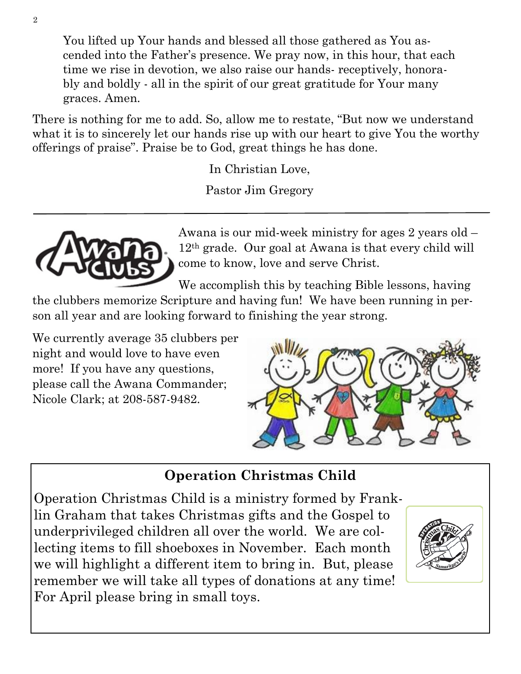You lifted up Your hands and blessed all those gathered as You ascended into the Father's presence. We pray now, in this hour, that each time we rise in devotion, we also raise our hands- receptively, honorably and boldly - all in the spirit of our great gratitude for Your many graces. Amen.

There is nothing for me to add. So, allow me to restate, "But now we understand what it is to sincerely let our hands rise up with our heart to give You the worthy offerings of praise". Praise be to God, great things he has done.

In Christian Love,

Pastor Jim Gregory



Awana is our mid-week ministry for ages 2 years old – 12th grade. Our goal at Awana is that every child will come to know, love and serve Christ.

We accomplish this by teaching Bible lessons, having

the clubbers memorize Scripture and having fun! We have been running in person all year and are looking forward to finishing the year strong.

We currently average 35 clubbers per night and would love to have even more! If you have any questions, please call the Awana Commander; Nicole Clark; at 208-587-9482.



## **Operation Christmas Child**

Operation Christmas Child is a ministry formed by Franklin Graham that takes Christmas gifts and the Gospel to underprivileged children all over the world. We are collecting items to fill shoeboxes in November. Each month we will highlight a different item to bring in. But, please remember we will take all types of donations at any time! For April please bring in small toys.

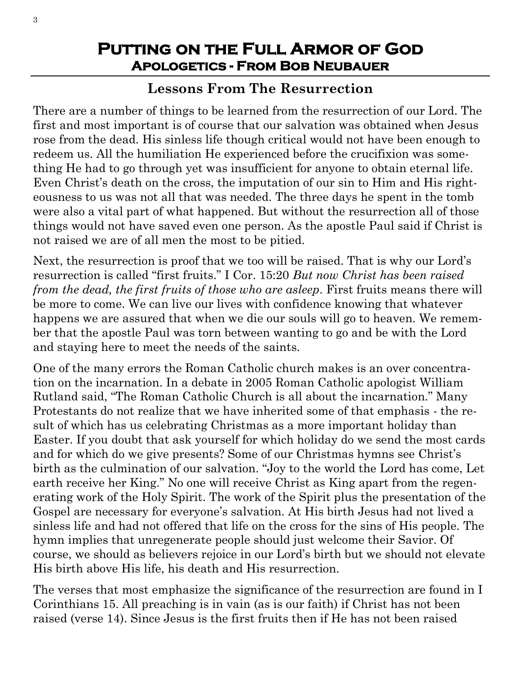### **Putting on the Full Armor of God Apologetics - From Bob Neubauer**

## **Lessons From The Resurrection**

There are a number of things to be learned from the resurrection of our Lord. The first and most important is of course that our salvation was obtained when Jesus rose from the dead. His sinless life though critical would not have been enough to redeem us. All the humiliation He experienced before the crucifixion was something He had to go through yet was insufficient for anyone to obtain eternal life. Even Christ's death on the cross, the imputation of our sin to Him and His righteousness to us was not all that was needed. The three days he spent in the tomb were also a vital part of what happened. But without the resurrection all of those things would not have saved even one person. As the apostle Paul said if Christ is not raised we are of all men the most to be pitied.

Next, the resurrection is proof that we too will be raised. That is why our Lord's resurrection is called "first fruits." I Cor. 15:20 *But now Christ has been raised from the dead, the first fruits of those who are asleep*. First fruits means there will be more to come. We can live our lives with confidence knowing that whatever happens we are assured that when we die our souls will go to heaven. We remember that the apostle Paul was torn between wanting to go and be with the Lord and staying here to meet the needs of the saints.

One of the many errors the Roman Catholic church makes is an over concentration on the incarnation. In a debate in 2005 Roman Catholic apologist William Rutland said, "The Roman Catholic Church is all about the incarnation." Many Protestants do not realize that we have inherited some of that emphasis - the result of which has us celebrating Christmas as a more important holiday than Easter. If you doubt that ask yourself for which holiday do we send the most cards and for which do we give presents? Some of our Christmas hymns see Christ's birth as the culmination of our salvation. "Joy to the world the Lord has come, Let earth receive her King." No one will receive Christ as King apart from the regenerating work of the Holy Spirit. The work of the Spirit plus the presentation of the Gospel are necessary for everyone's salvation. At His birth Jesus had not lived a sinless life and had not offered that life on the cross for the sins of His people. The hymn implies that unregenerate people should just welcome their Savior. Of course, we should as believers rejoice in our Lord's birth but we should not elevate His birth above His life, his death and His resurrection.

The verses that most emphasize the significance of the resurrection are found in I Corinthians 15. All preaching is in vain (as is our faith) if Christ has not been raised (verse 14). Since Jesus is the first fruits then if He has not been raised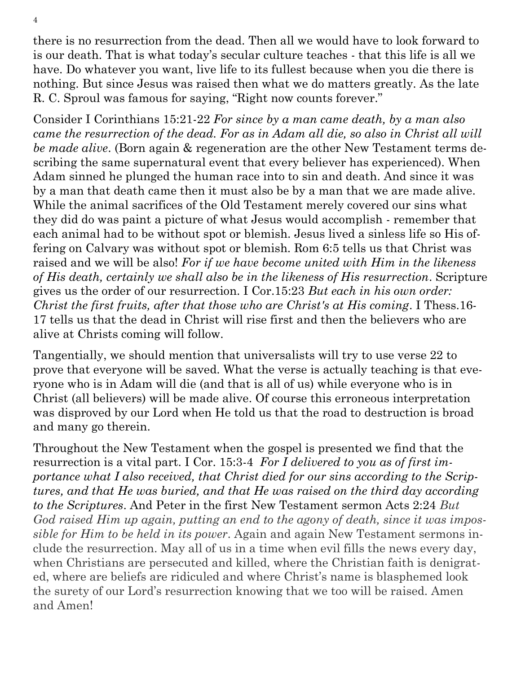there is no resurrection from the dead. Then all we would have to look forward to is our death. That is what today's secular culture teaches - that this life is all we have. Do whatever you want, live life to its fullest because when you die there is nothing. But since Jesus was raised then what we do matters greatly. As the late R. C. Sproul was famous for saying, "Right now counts forever."

Consider I Corinthians 15:21-22 *For since by a man came death, by a man also came the resurrection of the dead. For as in Adam all die, so also in Christ all will be made alive*. (Born again & regeneration are the other New Testament terms describing the same supernatural event that every believer has experienced). When Adam sinned he plunged the human race into to sin and death. And since it was by a man that death came then it must also be by a man that we are made alive. While the animal sacrifices of the Old Testament merely covered our sins what they did do was paint a picture of what Jesus would accomplish - remember that each animal had to be without spot or blemish. Jesus lived a sinless life so His offering on Calvary was without spot or blemish. Rom 6:5 tells us that Christ was raised and we will be also! *For if we have become united with Him in the likeness of His death, certainly we shall also be in the likeness of His resurrection*. Scripture gives us the order of our resurrection. I Cor.15:23 *But each in his own order: Christ the first fruits, after that those who are Christ's at His coming*. I Thess.16- 17 tells us that the dead in Christ will rise first and then the believers who are alive at Christs coming will follow.

Tangentially, we should mention that universalists will try to use verse 22 to prove that everyone will be saved. What the verse is actually teaching is that everyone who is in Adam will die (and that is all of us) while everyone who is in Christ (all believers) will be made alive. Of course this erroneous interpretation was disproved by our Lord when He told us that the road to destruction is broad and many go therein.

Throughout the New Testament when the gospel is presented we find that the resurrection is a vital part. I Cor. 15:3-4 *For I delivered to you as of first importance what I also received, that Christ died for our sins according to the Scriptures, and that He was buried, and that He was raised on the third day according to the Scriptures*. And Peter in the first New Testament sermon Acts 2:24 *But God raised Him up again, putting an end to the agony of death, since it was impossible for Him to be held in its power*. Again and again New Testament sermons include the resurrection. May all of us in a time when evil fills the news every day, when Christians are persecuted and killed, where the Christian faith is denigrated, where are beliefs are ridiculed and where Christ's name is blasphemed look the surety of our Lord's resurrection knowing that we too will be raised. Amen and Amen!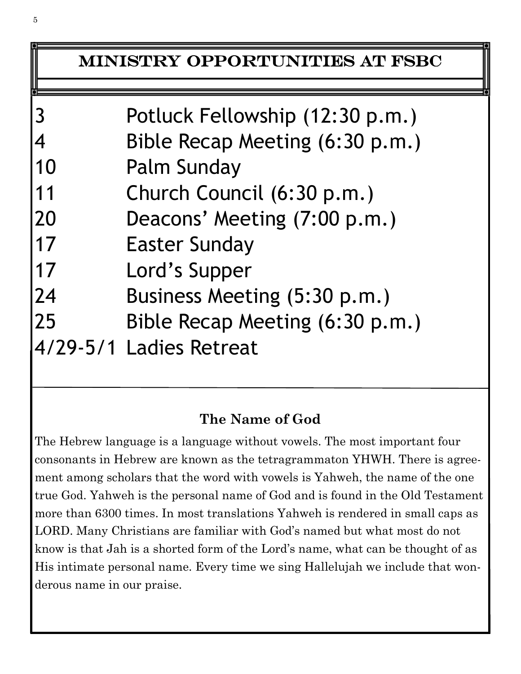## Ministry Opportunities at FSBC

| 3  | Potluck Fellowship (12:30 p.m.) |
|----|---------------------------------|
|    |                                 |
| 4  | Bible Recap Meeting (6:30 p.m.) |
| 10 | <b>Palm Sunday</b>              |
| 11 | Church Council (6:30 p.m.)      |
| 20 | Deacons' Meeting (7:00 p.m.)    |
| 17 | <b>Easter Sunday</b>            |
| 17 | Lord's Supper                   |
| 24 | Business Meeting (5:30 p.m.)    |
| 25 | Bible Recap Meeting (6:30 p.m.) |
|    | 4/29-5/1 Ladies Retreat         |

## **The Name of God**

The Hebrew language is a language without vowels. The most important four consonants in Hebrew are known as the tetragrammaton YHWH. There is agreement among scholars that the word with vowels is Yahweh, the name of the one true God. Yahweh is the personal name of God and is found in the Old Testament more than 6300 times. In most translations Yahweh is rendered in small caps as LORD. Many Christians are familiar with God's named but what most do not know is that Jah is a shorted form of the Lord's name, what can be thought of as His intimate personal name. Every time we sing Hallelujah we include that wonderous name in our praise.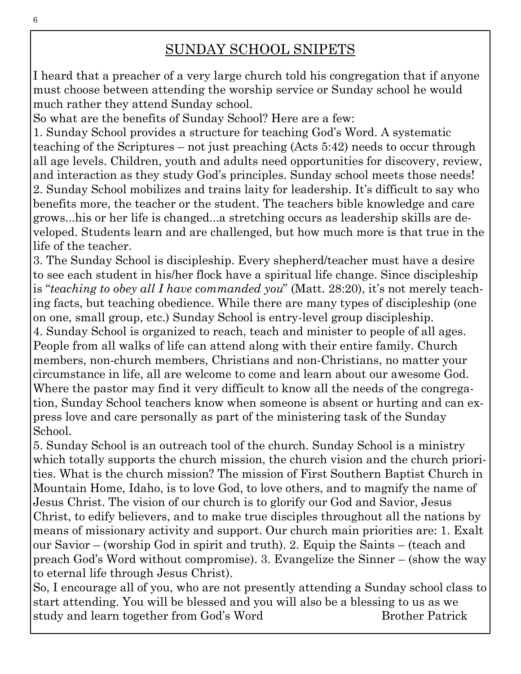## SUNDAY SCHOOL SNIPETS

I heard that a preacher of a very large church told his congregation that if anyone must choose between attending the worship service or Sunday school he would much rather they attend Sunday school.

So what are the benefits of Sunday School? Here are a few:

1. Sunday School provides a structure for teaching God's Word. A systematic teaching of the Scriptures – not just preaching (Acts 5:42) needs to occur through all age levels. Children, youth and adults need opportunities for discovery, review, and interaction as they study God's principles. Sunday school meets those needs! 2. Sunday School mobilizes and trains laity for leadership. It's difficult to say who benefits more, the teacher or the student. The teachers bible knowledge and care grows...his or her life is changed...a stretching occurs as leadership skills are developed. Students learn and are challenged, but how much more is that true in the life of the teacher.

3. The Sunday School is discipleship. Every shepherd/teacher must have a desire to see each student in his/her flock have a spiritual life change. Since discipleship is "*teaching to obey all I have commanded you*" (Matt. 28:20), it's not merely teaching facts, but teaching obedience. While there are many types of discipleship (one on one, small group, etc.) Sunday School is entry-level group discipleship.

4. Sunday School is organized to reach, teach and minister to people of all ages. People from all walks of life can attend along with their entire family. Church members, non-church members, Christians and non-Christians, no matter your circumstance in life, all are welcome to come and learn about our awesome God. Where the pastor may find it very difficult to know all the needs of the congregation, Sunday School teachers know when someone is absent or hurting and can express love and care personally as part of the ministering task of the Sunday School.

5. Sunday School is an outreach tool of the church. Sunday School is a ministry which totally supports the church mission, the church vision and the church priorities. What is the church mission? The mission of First Southern Baptist Church in Mountain Home, Idaho, is to love God, to love others, and to magnify the name of Jesus Christ. The vision of our church is to glorify our God and Savior, Jesus Christ, to edify believers, and to make true disciples throughout all the nations by means of missionary activity and support. Our church main priorities are: 1. Exalt our Savior – (worship God in spirit and truth). 2. Equip the Saints – (teach and preach God's Word without compromise). 3. Evangelize the Sinner – (show the way to eternal life through Jesus Christ).

So, I encourage all of you, who are not presently attending a Sunday school class to start attending. You will be blessed and you will also be a blessing to us as we study and learn together from God's Word Brother Patrick